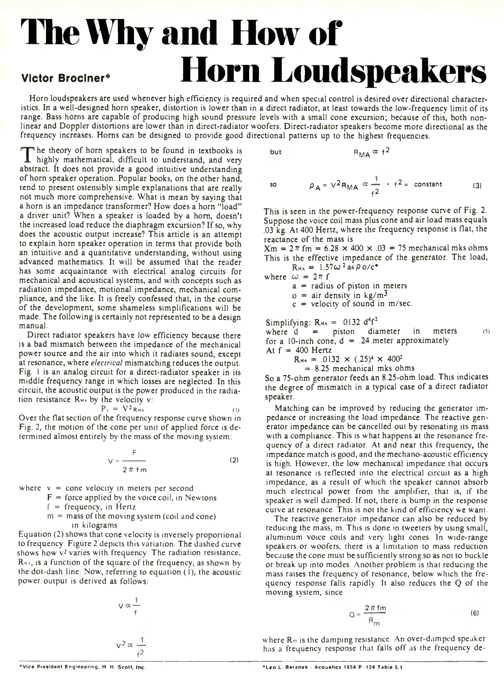# **The Why and How of Victor Brociner\* Horn Loudspeakers**

Horn loudspeakers are used whenever high efficiency is required and when special control is desired over directional characteristics. In a well-designed horn speaker, distortion is lower than in a direct radiator, at least towards the low-frequency limit of its range. Bass horns are capable of producing high sound pressure levels with a small cone excursion; because of this, both nonlinear and Doppler distortions are lower than in direct-radiator woofers. Direct-radiator speakers become more directional as the frequency increases. Homs can be designed to provide good directional patterns up to the highest frequencies.

but

The theory of horn speakers to be found in textbooks is<br>highly mathematical, difficult to understand, and very<br>abstract. It does not provide a good intuitive understanding he theory of horn speakers to be found in textbooks is highly mathematical, difficult to understand, and very of horn speaker operation. Popular books, on the other hand, tend to present ostensibly simple explanations that are really not much more comprehensive. What is mean by saying that a horn is an impedance transformer? How does a horn "load" a driver unit? When a speaker is loaded by a horn, doesn't the increased load reduce the diaphragm excursion? If so, why does the acoustic output increase? This article is an attempt to explain horn speaker operation in terms that provide both an intuitive and a quantitative understanding, without using advanced mathematics. It will be assumed that the reader has some acquaintance with electrical analog circuits for mechanical and acoustical systems, and with concepts such as radiation impedance, motional impedance, mechanical compliance, and the like. It is freely confessed that, in the course of the development, some shameless simplifications will be made. The following is certainly not represented to be a design manual.

Direct radiator speakers have low efficiency because there is a bad mismatch between the impedance of the mechanical power source and the air into which it radiates sound, except at resonance, where *electrical* mismatching reduces the output. Fig. 1 is an analog circuit for a direct-radiator speaker in its middle frequency range in which losses are neglected. In this circuit, the acoustic output is the power produced in the radiation resistance  $R_{MA}$  by the velocity v:

$$
P_{\alpha} = V^2 R_{\text{WA}} \tag{1}
$$

Over the flat section of the frequency response curve shown in Fig. 2, the motion of the cone per unit of applied force is determined almost entirely by the mass of the moving system:

$$
V = \frac{F}{2 \pi \text{ fm}} \tag{2}
$$

where  $v =$  cone velocity in meters per second

$$
F
$$
 = force applied by the voice coil, in Newtons

 $f = frequency$ , in Hertz

 $m =$  mass of the moving system (coil and cone) in kilograms

Equation (2) shows that cone velocity is inversely proportional to frequency. Figure 2 depicts this variation. The dashed curve shows how  $v^2$  varies with frequency. The radiation resistance,  $R_{\text{max}}$ , is a function of the square of the frequency, as shown by the dot-dash line. Now, referring to equation (1), the acoustic power output is derived as follows:

$$
\sqrt{\alpha} \frac{1}{f}
$$

$$
\sqrt{2} \alpha \frac{1}{f}
$$

f $\leq$ 

$$
R_{\rm MA} \propto f^2
$$

so 
$$
\rho_A = V^2 R_{MA} \propto \frac{1}{f^2} \cdot f^2 = \text{constant}
$$
 (3)

This is seen in the power-frequency response curve of Fig. 2. Suppose the voice coil mass plus cone and air load mass equals .03 kg. At 400 Hertz, where the frequency response is flat, the reactance of the mass is

 $Xm = 2\pi$  fm = 6.28  $\times$  400  $\times$  .03 = 75 mechanical mks ohms This is the effective impedance of the generator. The load,  $R_{\text{MA}} = 1.57 \omega^2 a_4 \rho_0/c^*$ 

where  $\omega = 2\pi f$ 

 $a =$  radius of piston in meters

 $o =$  air density in kg/m<sup>3</sup>

 $c =$  velocity of sound in m/sec.

Simplifying:  $R_{MA} = .0132 d^4f^2$ 

where  $d =$  piston diameter in meters (5) for a 10-inch cone,  $d = .24$  meter approximately At  $f = 400$  Hertz

$$
R_{\text{MA}} = .0132 \times (.25)^4 \times 400^2
$$

 $= 8.25$  mechanical mks ohms

So a 75-ohm generator feeds an 8.25-ohm load. This indicates the degree of mismatch in a typical case of a direct radiator speaker.

Matching can be improved by reducing the generator impedance or increasing the load impedance. The reactive generator impedance can be cancelled out by resonating its mass with a compliance. This is what happens at the resonance frequency of a direct radiator. At and near this frequency, the impedance match is good, and the mechano-acoustic efficiency is high. However, the low mechanical impedance that occurs at resonance is reflected into the electrical circuit as a high impedance, as a result of which the speaker cannot absorb much electrical power from the amplifier, that is, if the speaker is well damped. If not, there is bump in the response curve at resonance. This is not the kind of efficiency we want.

The reactive generator impedance can also be reduced by reducing the mass, m. This is done in tweeters by using small, aluminum voice coils and very light cones. In wide-range speakers or woofers, there is a limitation to mass reduction because the cone must be sufficiently strong so as not to buckle or break up into modes. Another problem is that reducing the mass raises the frequency of resonance, below which the frequency response falls rapidly. It also reduces the Q of the moving system, since

$$
Q = \frac{2\pi \text{ fm}}{R_{m}}
$$
 (6)

where Rm is the damping resistance. An over-damped speaker has a frequency response that falls off as the frequency de-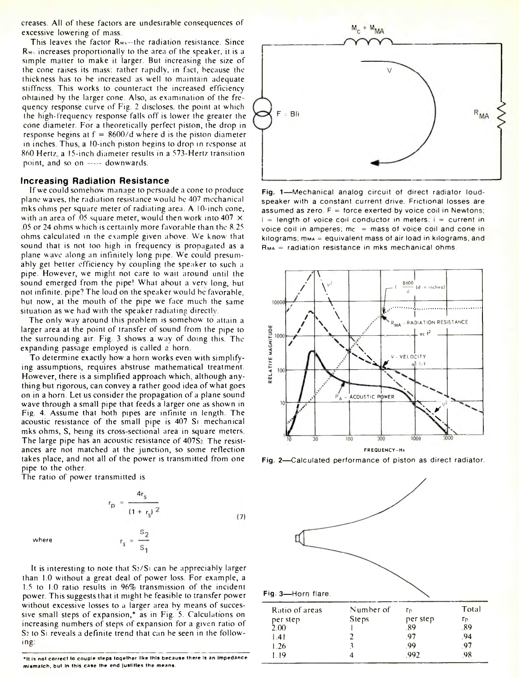creases. All of these factors are undesirable consequences of excessive lowering of mass.

This leaves the factor  $R_{M+}$ —the radiation resistance. Since  $R_{\text{M}_2}$  increases proportionally to the area of the speaker, it is a simple matter to make it larger. But increasing the size of the cone raises its mass; rather rapidly, in fact, because the thickness has to be increased as well to maintain adequate stiffness. This works to counteract the increased efficiency obtained by the larger cone. Also, as examination of the fre quency response curve of Fig. 2 discloses, the point at which the high-frequency response falls off is lower the greater the cone diameter. For a theoretically perfect piston, the drop in response begins at  $f = 8600/d$  where d is the piston diameter in inches. Thus, a 10-inch piston begins to drop in response at 860 Hertz a 15-inch diameter results in a 573-Hertz transition point, and so on ----- downwards.

# **Increasing Radiation Resistance**

If we could somehow man ige to persuade a cone to produce plane waves, the radiation resistance would be 407 mechanical mks ohms per square meter of radiating area. A 10-inch cone, with an area of .05 square meter, would then work into  $407 \times$ 05 or 24 ohms which is certainly more favorable than the 8.25 ohms calculated in the example given above. We know that sound that is not too high in frequency is propagated as a plane wave along an infinitely long pipe. We could presumably get better efficiency by coupling the speaker to such a pipe. However, we might not care to wait around until the sound emerged from the pipe! What about a very long, but not infinite, pipe? The load on the speaker would be favorable, but now, at the mouth of the pipe we face much the same situation as we had with the speaker radiating directly.

The only way around this problem is somehow to attain a larger area at the point of transfer of sound from the pipe to the surrounding air. Fig. 3 shows a way of doing this. The expanding passage employed is called a horn.

To determine exactly how a horn works even with simplifying assumptions, requires abstruse mathematical treatment. However, there is a simplified approach which, although anything but rigorous, can convey a rather good idea of what goes on in a horn. Let us consider the propagation of a plane sound wave through a small pipe that feeds a larger one as shown in Fig. 4. Assume that both pipes are infinite in length. The acoustic resistance of the small pipe is 407 Si mechanical mks ohms, S, being its cross-sectional area in square meters The large pipe has an acoustic resistance of  $407S<sub>2</sub>$ . The resistances are not matched at the junction, so some reflection takes place, and not all of the power is transmitted from one pipe to the other.

The ratio of power transmitted is

 $r_p = \frac{4r_s}{(1+r_s)^2}$  $(7)$  $r_s = \frac{52}{s}$ 

where



\*It is not correct to couple steps together like this because there is an impedance mismatch, but in this case the end justifies the means



Fig. 1-Mechanical analog circuit of direct radiator loudspeaker with a constant current drive. Frictional losses are assumed as zero.  $F =$  force exerted by voice coil in Newtons;  $I =$  length of voice coil conductor in meters;  $i =$  current in voice coil in amperes; mc  $=$  mass of voice coil and cone in  $kilograms$ ;  $mma = equivalent$  mass of air load in kilograms, and  $R_{MA}$  = radiation resistance in mks mechanical ohms.



Fig. 2-Calculated performance of piston as direct radiator.



| Total |
|-------|
| Гp    |
| .89   |
| .94   |
| .97   |
| 98    |
|       |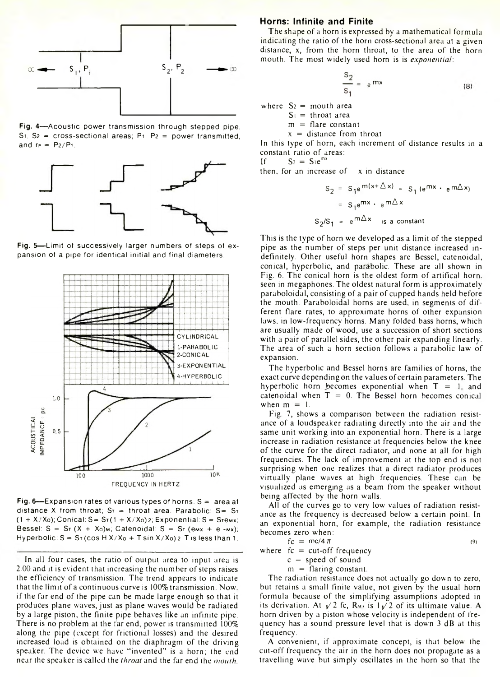

**Fig. 4**— Acoustic power transmission through stepped pipe.  $S_1$ ,  $S_2$  = cross-sectional areas; P<sub>1</sub>, P<sub>2</sub> = power transmitted, and  $r_P = P_2/P_1$ .



**Fig. 5—** Limit of successively larger numbers of steps of expansion of a pipe for identical initial and final diameters.



**Fig. 6**— Expansion rates of various types of horns. S = area at distance X from throat;  $Sr =$  throat area. Parabolic:  $S = Sr$  $(1 + X/X<sub>0</sub>)$ ; Conical: S= S $\tau$ (1 + X $\bar{\tau}$ X<sub>0</sub>) 2; Exponential: S = S $\tau$ emx; Bessel:  $S = S_T (X + X_0)$ m; Catenoidal:  $S = S_T (e_{M}x + e_{-M}x)$ ; Hyperbolic:  $S = S_T(\cos H X/X_0 + T \sin X/X_0)$  2 T is less than 1.

In all four cases, the ratio of output area to input area is 2.00 and it is evident that increasing the number of steps raises the efficiency of transmission. The trend appears to indicate that the limit of a continuous curve is 100% transmission. Now. if the far end of the pipe can be made large enough so that it produces plane waves, just as plane waves would be radiated by a large piston, the finite pipe behaves like an infinite pipe. There is no problem at the far end, power is transmitted 100% along the pipe (except for frictional losses) and the desired increased load is obtained on the diaphragm of the driving speaker. The device we have "invented" is a horn; the end near the speaker is called the *throat* and the far end the *mouth.*

#### **Horns: Infinite and Finite**

The shape of a horn is expressed by a mathematical formula indicating the ratio of the horn cross-sectional area at a given distance, x, from the horn throat, to the area of the horn mouth. The most widely used horn is is *exponential*:

$$
\frac{s_2}{s_1} = e^{mx}
$$
 (8)

where  $S_2$  = mouth area

 $S_1$  = throat area

 $m =$ flare constant

 $x =$  distance from throat

In this type of horn, each increment of distance results in a constant ratio of areas:<br>If  $S_2 = S_1 e^{inx}$ 

 $S_2 = S_1 e^{inx}$ 

then, for an increase of x in distance

$$
S_2 = S_1 e^{m(x + \Delta x)} = S_1 (e^{mx} \cdot e^{m\Delta x})
$$

$$
= S_1 e^{mx} \cdot e^{m\Delta x}
$$

$$
S_2/S_1 = e^{m\Delta x} \text{ is a constant}
$$

This is the type of horn we developed as a limit of the stepped pipe as the number of steps per unit distance increased indefinitely. Other useful horn shapes are Bessel, catenoidal, conical, hyperbolic, and parabolic. These are all shown in Fig. 6. The conical horn is the oldest form of artifical horn, seen in megaphones. The oldest natural form is approximately paraboloidal, consisting of a pair of cupped hands held before the mouth. Paraboloidal horns are used, in segments of different flare rates, to approximate horns of other expansion laws, in low-frequency horns. Many folded bass horns, which are usually made of wood, use a succession of short sections with a pair of parallel sides, the other pair expanding linearly. The area of such a horn section follows a parabolic law of expansion.

The hyperbolic and Bessel horns are families of horns, the exact curve depending on the values of certain parameters. The hyperbolic horn becomes exponential when  $T = 1$ , and catenoidal when  $T = 0$ . The Bessel horn becomes conical when  $m = 1$ .

Fig. 7, shows a comparison between the radiation resistance of a loudspeaker radiating directly into the air and the same unit working into an exponential horn. There is a large increase in radiation resistance at frequencies below the knee of the curve for the direct radiator, and none at all for high frequencies. The lack of improvement at the top end is not surprising when one realizes that a direct radiator produces virtually plane waves at high frequencies. These can be visualized as emerging as a beam from the speaker without being affected by the horn walls.

All of the curves go to very low values of radiation resistance as the frequency is decreased below a certain point. In an exponential horn, for example, the radiation resistance becomes zero when:

$$
fc = mc/4 \pi
$$
 (9)

where  $fc = cut-off frequency$ 

 $c = speed of sound$  $m =$  flaring constant.

The radiation resistance does not actually go down to zero,

but retains a small finite value, not given by the usual horn formula because of the simplifying assumptions adopted in its derivation. At  $\sqrt{2}$  fc, R<sub>M</sub> is  $1/\sqrt{2}$  of its ultimate value. A horn driven by a piston whose velocity is independent of frequency has a sound pressure level that is down 3 dB at this frequency.

A convenient, if approximate concept, is that below the cut-off frequency the air in the horn does not propagate as a travelling wa\e but simply oscillates in the horn so that the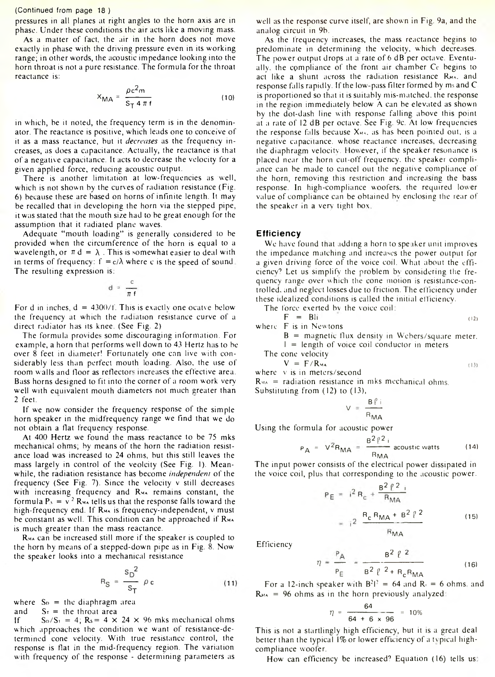#### (Continued from page 18 )

pressures in all planes at right angles to the horn axis are in phase. Under these conditions the air acts like a moving mass.

As a matter of fact, the air in the horn does not move exactly in phase with the driving pressure even in its working range; in other words, the acoustic impedance looking into the horn throat is not a pure resistance. The formula for the throat reactance is:

$$
X_{\text{MA}} = \frac{\rho c^2 m}{S_T 4 \pi f}
$$
 (10)

in which, be it noted, the frequency term is in the denominator. The reactance is positive, which leads one to conceive of it as a mass reactance, but it *decreases* as the frequency increases, as does a capacitance. Actually, the reactance is that of a negative capacitance. It acts to decrease the velocity for a given applied force, reducing acoustic output.

There is another limitation at low-frequencies as well, which is not shown by the curves of radiation resistance (Fig. 6) because these are based on horns of infinite length. It may be recalled that in developing the horn via the stepped pipe, it was stated that the mouth size had to be great enough for the assumption that it radiated plane waves.

Adequate "mouth loading" is generally considered to be provided when the circumference of the horn is equal to a wavelength, or  $\pi d = \lambda$ . This is somewhat easier to deal with in terms of frequency:  $f = c/\lambda$  where c is the speed of sound. The resulting expression is:

$$
d = \frac{c}{\pi f}
$$

For d in inches,  $d = 4300/f$ . This is exactly one ocatve below the frequency at which the radiation resistance curve of a direct radiator has its knee. (See Fig. 2)

The formula provides some discouraging information. For example, a horn that performs well down to 43 Hertz has to be over 8 feet in diameter! Fortunately one can live with considerably less than perfect mouth loading. Also, the use of room walls and floor as reflectors increases the effective area. Bass horns designed to fit into the corner of a room work very well with equivalent mouth diameters not much greater than 2 feet.

If we now consider the frequency response of the simple horn speaker in the midfrequency range we find that we do not obtain a flat frequency response.

At 400 Hertz we found the mass reactance to be 75 mks mechanical ohms; by means of the horn the radiation resistance load was increased to 24 ohms, but this still leaves the mass largely in control of the veolcity (See Fig. 1). Meanwhile, the radiation resistance has become *independent* of the frequency (See Fig. 7). Since the velocity v still decreases with increasing frequency and R<sub>MA</sub> remains constant, the formula  $P_y = v^2 R_{\text{MA}}$  tells us that the response falls toward the high-frequency end. If R<sub>MA</sub> is frequency-independent, v must be constant as well. This condition can be approached if RMA is much greater than the mass reactance.

RMA can be increased still more if the speaker is coupled to the horn by means of a stepped-down pipe as in Fig. 8. Now the speaker looks into a mechanical resistance

$$
R_{\rm S} = \frac{\rm s_D^2}{\rm s_T} \ \rho \, \rm c \tag{11}
$$

where  $S_p$  = the diaphragm area

and  $S_{\text{t}} =$  the throat area

If  $S_D/S_1 = 4$ ;  $R_S = 4 \times 24 \times 96$  mks mechanical ohms which approaches the condition we want of resistance-determined cone velocity. With true resistance control, the response is flat in the mid-frequency region. The variation with frequency of the response - determining parameters as

well as the response curve itself, are shown in Fig. 9a, and the analog circuit in 9b.

As the frequency increases, the mass reactance begins to predominate in determining the velocity, which decreases. The power output drops at a rate of 6 dB per octave. Eventually. the compliance of the front air chamber Cc begins to act like a shunt across the radiation resistance R<sub>MA</sub>, and response falls rapidly. If the low-pass filter formed by ms and C is proportioned so that it is suitably mis-matched. the response in the region immediately below A can be elevated as shown by the dot-dash line with response falling above this point at a rate of 12 dB per octave. See Fig. 9c. At low frequencies the response falls because  $X_{M+}$ , as has been pointed out, is a negative capacitance, whose reactance increases, decreasing the diaphragm velocity. Hov ever, if the speaker resonance is placed near the horn cut-off frequency, the speaker compliance can be made to cancel out the negative compliance of the horn, removing this restriction and increasing the bass response. In high-compliance woofers, the required lower value of compliance can be obtained bv enclosing the rear of the speaker in a very tight box

#### **Efficiency**

We have found that adding a horn to speaker unit improves the impedance m itching and increases the power output for a given driving force of the voice coil. What about the efficiency? Let us simplify the problem bv considering the frequency range over which the cone motion is resistance-controlled. and neglect losses due to friction. The efficiency under these idealized conditions is called the initial ef ficiency.

The force exerted bv the voice coil

$$
F = \text{Bli}
$$
\nwhere  $F$  is in Newtons

\n(12)

 $B =$  magnetic flux density in Webers/square meter.

 $1$  = length of voice coil conductor in meters

The cone velocity

$$
V = F / R_{\text{WA}} \tag{1}
$$

where v is in meters/second  $R_{\text{MA}}$  = radiation resistance in mks mechanical ohms. Substituting from (12) to (13),

$$
V = \frac{B \ell i}{R_{\text{MA}}}
$$

Using the formula for acoustic power

$$
P_A = V^2 R_{MA} = \frac{B^2 l^2}{R_{MA}} \text{ acoustic watts} \qquad (14)
$$

The input power consists of the electrical power dissipated in the voice coil, plus that corresponding to the acoustic power.

$$
P_{E} = i^{2} R_{c} + \frac{B^{2} \ell^{2}}{R_{MA}}
$$
  
=  $i^{2} \frac{R_{c} R_{MA} + B^{2} \ell^{2}}{R_{MA}}$  (15)

Efficiency

$$
\eta = \frac{P_{A}}{P_{E}} = \frac{B^{2} \ell^{2}}{B^{2} \ell^{2} + R_{c} R_{MA}}
$$
(16)

For a 12-inch speaker with  $B^2l^2 = 64$  and  $R<sub>i</sub> = 6$  ohms, and  $R_{MA}$  = 96 ohms as in the horn previously analyzed:

$$
\eta = \frac{64}{64 + 6 \times 96} = 10\%
$$

This is not a startlingly high efficiency, but it is a great deal better than the typical 1% or lower efficiency of a typical highcompliance woofer.

How can efficiency be increased? Equation (16) tells us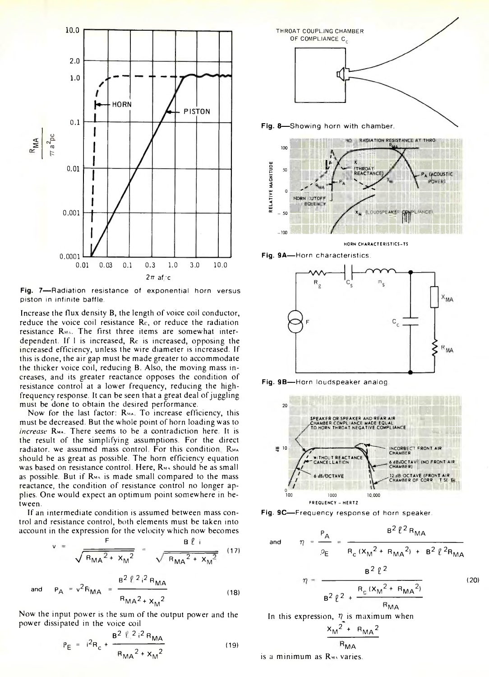

**Fig. 7**— Radiation resistance of exponential horn versus piston in infinite baffle.

Increase the flux density B, the length of voice coil conductor, reduce the voice coil resistance  $Re$ , or reduce the radiation resistance RMM. The first three items are somewhat interdependent. If 1 is increased, Rc is increased, opposing the increased efficiency, unless the wire diameter is increased. If this is done, the air gap must be made greater to accommodate the thicker voice coil, reducing B. Also, the moving mass increases, and its greater reactance opposes the condition of resistance control at a lower frequency, reducing the highfrequency response. It can be seen that a great deal of juggling must be done to obtain the desired performance.

Now for the last factor:  $R_{MA}$ . To increase efficiency, this must be decreased. But the whole point of horn loading was to *increase* Rm». There seems to be a contradiction here. It is the result of the simplifying assumptions. For the direct radiator, we assumed mass control. For this condition. RMA should be as great as possible. The horn efficiency equation was based on resistance control. Here,  $R_{M}$  should be as small as possible. But if R<sub>MA</sub> is made small compared to the mass reactance, the condition of resistance control no longer applies. One would expect an optimum point somewhere in between.

If an intermediate condition is assumed between mass control and resistance control, both elements must be taken into account in the expression for the velocity which now becomes

v = 
$$
\frac{F}{\sqrt{R_{MA}^2 + x_M^2}}
$$
 =  $\frac{B \ell}{\sqrt{R_{MA}^2 + x_M^2}}$  (17)

and 
$$
P_A = v^2 R_{MA} = \frac{B^2 l^2 i^2 R_{MA}}{R_{MA}^2 + x_M^2}
$$
 (18)

Now the input power is the sum of the output power and the power dissipated in the voice coil

$$
P_{E} = i^{2}R_{c} + \frac{B^{2} l_{i}^{2} i^{2} R_{MA}}{R_{MA}^{2} + x_{M}^{2}}
$$
(19)







HORN CHARACTERISTICS-TS





**Fig. 9B**— Horn loudspeaker analog.



**Fig. 9C**— Frequency response of horn speaker.

and 
$$
\eta = \frac{P_A}{\rho_E} = \frac{B^2 l^2 R_{MA}}{R_c (x_M^2 + R_{MA}^2) + B^2 l^2 R_{MA}}
$$
  

$$
\eta = \frac{B^2 l^2}{B^2 l^2 + \frac{R_c (x_M^2 + R_{MA}^2)}{R_{MA}}}
$$
(20)  
In this expression,  $\eta$  is maximum when

In this expression, *V* is maximum when

$$
\frac{x_M^2 + R_{MA}^2}{R_{MA}}
$$

is a minimum as Rmi varies.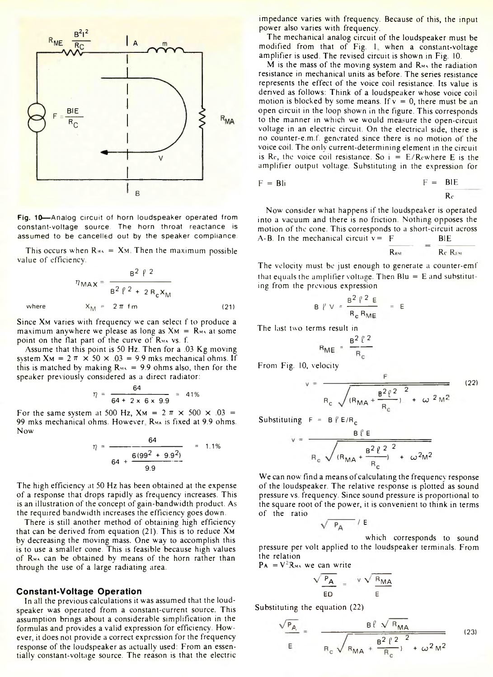

**Fig. 10**— Analog circuit of horn loudspeaker operated from constant-voltage source. The horn throat reactance is assumed to be cancelled out by the speaker compliance.

This occurs when  $R_{\text{max}} = X_M$ . Then the maximum possible value of efficiency.

$$
\eta_{\text{MAX}} = \frac{B^2 \ell^2}{B^2 \ell^2 + 2 R_c X_M}
$$
\nwhere 
$$
X_M = 2 \pi \text{ fm}
$$
 (21)

Since X<sub>M</sub> varies with frequency we can select f to produce a maximum anywhere we please as long as  $X_M = R_{M \setminus M}$  at some point on the flat part of the curve of  $R_{MAX}$  vs. f.

Assume that this point is 50 Hz. Then for a .03 Kg moving system  $X_M = 2 \pi \times 50 \times 0.03 = 9.9$  mks mechanical ohms. If this is matched by making  $R_{\text{MA}} = 9.9$  ohms also, then for the speaker previously considered as a direct radiator:

$$
\eta = \frac{64}{64 + 2 \times 6 \times 9.9} = 41\%
$$

For the same system at 500 Hz,  $X_M = 2 \pi \times 500 \times 0.03 =$ 99 mks mechanical ohms. However R<sub>MA</sub> is fixed at 9.9 ohms. Now

$$
\eta = \frac{64}{64 + \frac{6(99^2 + 9.9^2)}{9.9}}
$$
 = 1.1%

The high efficiency at 50 Hz has been obtained at the expense of a response that drops rapidly as frequency increases. This is an illustration of the concept of gain-bandwidth product. As the required bandwidth increases the efficiency goes down.

There is still another method of obtaining high efficiency that can be derived from equation (21). This is to reduce Xm by decreasing the moving mass. One way to accomplish this is to use a smaller cone. This is feasible because high values of Rma can be obtained by means of the horn rather than through the use of a large radiating area.

#### **Constant-Voltage Operation**

In all the previous calculations it was assumed that the loudspeaker was operated from a constant-current source. This assumption brings about a considerable simplification in the formulas and provides a valid expression for efficiency. However, it does not provide a correct expression for the frequency response of the loudspeaker as actually used: From an essentially constant-voltage source. The reason is that the electric impedance varies with frequency. Because of this, the input power also varies with frequency.

The mechanical analog circuit of the loudspeaker must be modified from that of Fig. 1 when a constant-voltage amplifier is used. The revised circuit is shown in Fig. 10.

M is the mass of the moving system and  $\mathbb{R}_{M}$  the radiation resistance in mechanical units as before. The series resistance represents the effect of the voice coil resistance. Its value is derived as follows: Think of a loudspeaker whose voice coil motion is blocked by some means. If  $v = 0$ , there must be an open circuit in the loop shown in the figure. This corresponds to the manner in which we would measure the open-circuit voltage in an electric circuit. On the electrical side, there is no counter-e.m.f. generated since there is no motion of the voice coil. The only current-determining element in the circuit is Rc, the voice coil resistance. So  $i = E/R$ cwhere E is the amplifier output voltage. Substituting in the expression for

$$
F = B1i \qquad F = B1E
$$

Now consider what happens if the loudspeaker is operated into a vacuum and there is no friction. Nothing opposes the motion of the cone. This corresponds to a short-circuit across A-B. In the mechanical circuit  $v = F$  BIE

$$
\overline{\mathsf{R}_{\mathsf{EM}}} = \overline{\mathsf{R}_{\mathsf{C}} \mathsf{R}_{\mathsf{U}}}
$$

The velocity must be just enough to generate a counter-emf that equals the amplifier voltage. Then  $Blu = E$  and substituting from the previous expression

$$
B \tV = \frac{B^2 \tP^2 E}{R_c R_{ME}} = E
$$

The last two terms result in

$$
R_{ME} = \frac{B^2 l^2}{R_c}
$$

From Fig. 10, velocity

$$
= \frac{F}{R_c \sqrt{(R_{MA} + \frac{B^2 \ell^2}{R_c})^2 + \omega^2 M^2}}
$$
 (22)

Substituting  $F = B \ell E/R_c$ 

$$
v = \frac{B \ell E}{R_c \sqrt{(R_{MA} + \frac{B^2 \ell^2}{R_c})^2 + \omega^2 M^2}}
$$

We can now find a means of calculating the frequency response of the loudspeaker. The relative response is plotted as sound pressure vs. frequency. Since sound pressure is proportional to the square root of the power, it is convenient to think in terms of the ratio

$$
\sqrt{\phantom{a}P_A\phantom{a}}\,/\,E
$$

which corresponds to sound pressure per volt applied to the loudspeaker terminals. From the relation

$$
PA = V^*R_{MA} we can write
$$

$$
\frac{\sqrt{P_{A}}}{ED} = \frac{v \sqrt{R_{MA}}}{E}
$$

Substituting the equation (22)

$$
\frac{\sqrt{P_{A}}}{E} = \frac{B \ell \sqrt{R_{MA}}}{R_c \sqrt{R_{MA} + \frac{B^2 \ell^2}{R_c}^2 + \omega^2 M^2}}
$$
(23)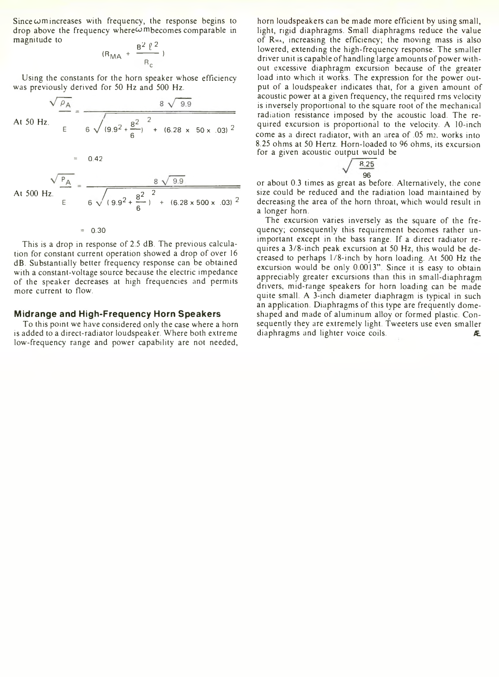Since  $\omega$ m increases with frequency, the response begins to drop above the frequency where  $\omega$  mbecomes comparable in magnitude to

$$
(R_{\rm MA} + \frac{B^2 \ell^2}{R_c})
$$

Using the constants for the horn speaker whose efficiency was previously derived for 50 Hz and 500 Hz.

At 50 Hz.  $E = 6 \sqrt{(9.9^2 + \frac{8^2}{6})^2 + (6.28 \times 50 \times .03)^2}$ 

At 500 Hz.  
\n
$$
A \t 500 Hz.
$$
\n
$$
B \sqrt{9.9}
$$
\n
$$
B \sqrt{9.9}
$$
\n
$$
6 \sqrt{(9.9^{2} + \frac{8^{2}}{6})^{2} + (6.28 \times 500 \times .03)^{2}}
$$

#### $= 0.30$

 $= 0.42$ 

This is a drop in response of 2.5 dB. The previous calculation for constant current operation showed a drop of over 16 dB. Substantially better frequency response can be obtained with a constant-voltage source because the electric impedance of the speaker decreases at high frequencies and permits more current to flow.

# **Midrange and High-Frequency Horn Speakers**

To this point we have considered only the case where a horn is added to a direct-radiator loudspeaker. Where both extreme low-frequency range and power capability are not needed,

horn loudspeakers can be made more efficient by using small, light, rigid diaphragms. Small diaphragms reduce the value of Rwa, increasing the efficiency; the moving mass is also lowered, extending the high-frequency response. The smaller driver unit is capable of handling large amounts of power without excessive diaphragm excursion because of the greater load into which it works. The expression for the power output of a loudspeaker indicates that, for a given amount of acoustic power at a given frequency, the required rms velocity is inversely proportional to the square root of the mechanical radiation resistance imposed by the acoustic load. The required excursion is proportional to the velocity. A 10-inch come as a direct radiator, with an area of .05 m2, works into 8.25 ohms at 50 Hertz. Horn-loaded to 96 ohms, its excursion for a given acoustic output would be

$$
\sqrt{\frac{8.25}{96}}
$$

96 or about 0.3 times as great as before. Alternatively, the cone size could be reduced and the radiation load maintained by decreasing the area of the horn throat, which would result in a longer horn.

The excursion varies inversely as the square of the frequency; consequently this requirement becomes rather unimportant except in the bass range. If a direct radiator requires a 3/8-inch peak excursion at 50 Hz, this would be decreased to perhaps 1/8-inch by horn loading. At 500 Hz the excursion would be only 0.0013". Since it is easy to obtain appreciably greater excursions than this in small-diaphragm drivers, mid-range speakers for horn loading can be made quite small. A 3-inch diameter diaphragm is typical in such an application. Diaphragms of this type are frequently domeshaped and made of aluminum alloy or formed plastic. Consequently they are extremely light. Tweeters use even smaller diaphragms and lighter voice coils. *ft.*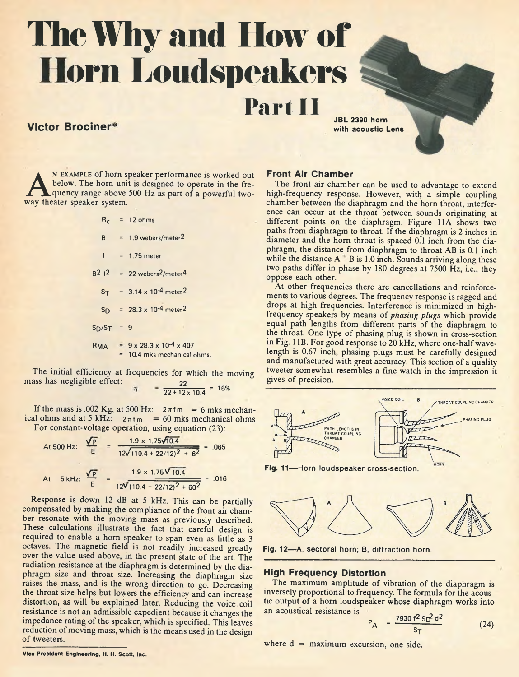# **The Why and How of Horn Loudspeakers**

# **Victor Brociner\***

**JBL 2390 horn**

**A REXAMPLE OF NOTH Speaker**<br> **A below**. The horn unit is desi<br> **A quency range above 500 Hz**<br> **WAY theater speaker system. n example of horn speaker performance is worked out below. The horn unit is designed to operate in the frequency range above 500 Hz as part of a powerful two-**

|               | $R_c$ = 12 ohms                                                                     |
|---------------|-------------------------------------------------------------------------------------|
|               | $B = 1.9$ webers/meter <sup>2</sup>                                                 |
|               | $1 = 1.75$ meter                                                                    |
|               | $B^2$   2 = 22 webers <sup>2</sup> /meter <sup>4</sup>                              |
|               | $ST = 3.14 \times 10^{-4}$ meter <sup>2</sup>                                       |
|               | $S_D = 28.3 \times 10^{-4}$ meter <sup>2</sup>                                      |
| $S_D/S_T = 9$ |                                                                                     |
|               | $R_{MA}$ = $9 \times 28.3 \times 10^{-4} \times 407$<br>= 10.4 mks mechanical ohms. |

**The initial efficiency at frequencies for which the moving mass has negligible effect:** 22

$$
= \frac{22}{22 + 12 \times 10.4} = 16\%
$$

If the mass is .002 Kg, at 500 Hz:  $2 \pi fm = 6$  mks mechanical ohms and at 5 kHz:  $2\pi fm = 60$  mks mechanical ohms **For constant-voltage operation, using equation (23):**

At 500 Hz: 
$$
\frac{\sqrt{p}}{E} = \frac{1.9 \times 1.75\sqrt{10.4}}{12\sqrt{(10.4 + 22/12)^2 + 6^2}} = .065
$$
  
At 5 kHz:  $\frac{\sqrt{p}}{E} = \frac{1.9 \times 1.75\sqrt{10.4}}{12\sqrt{(10.4 + 22/12)^2 + 60^2}} = .016$ 

**Response is down 12 dB at 5 kHz. This can be partially compensated by making the compliance of the front air chamber resonate with the moving mass as previously described. These calculations illustrate the fact that careful design is required to enable a horn speaker to span even as little as 3 octaves. The magnetic field is not readily increased greatly over the value used above, in the present state of the art. The radiation resistance at the diaphragm is determined by the diaphragm size and throat size. Increasing the diaphragm size raises the mass, and is the wrong direction to go. Decreasing the throat size helps but lowers the efficiency and can increase distortion, as will be explained later. Reducing the voice, coil resistance is not an admissible expedient because it changes the impedance rating of the speaker, which is specified. This leaves reduction of moving mass, which is the means used in the design of tweeters.**

# **Front Air Chamber**

**Part II**

**The front air chamber can be used to advantage to extend high-frequency response. However, with a simple coupling chamber between the diaphragm and the horn throat, interference can occur at the throat between sounds originating at different points on the diaphragm. Figure 11A shows two paths from diaphragm to throat. If the diaphragm is 2 inches in diameter and the horn throat is spaced 0.1 inch from the diaphragm, the distance from diaphragm to throat AB is 0.1 inch while the distance A B is 1.0 inch. Sounds arriving along these two paths differ in phase by 180 degrees at 7500 Hz, i.e., they oppose each other.**

**At other frequencies there are cancellations and reinforcements to various degrees. The frequency response is ragged and drops at high frequencies. Interference is minimized in highfrequency speakers by means of** *phasing plugs* **which provide equal path lengths from different parts of the diaphragm to the throat. One type of phasing plug is shown in cross-section in Fig. 1 IB. For good response to 20 kHz, where one-half wavelength is 0.67 inch, phasing plugs must be carefully designed and manufactured with great accuracy. This section of a quality tweeter somewhat resembles a fine watch in the impression it gives of precision.**



**Fig. 11 — Horn loudspeaker cross-section.**



**Fig. 12— A, sectoral horn; B, diffraction horn.**

### **High Frequency Distortion**

**The maximum amplitude of vibration of the diaphragm is inversely proportional to frequency. The formula for the acoustic output of a horn loudspeaker whose diaphragm works into an acoustical resistance is ^ "**

$$
P_{\rm A} = \frac{7930 \, \text{f}^2 \, \text{S} \, \text{f}^2 \, \text{d}^2}{\text{S} \, \text{T}} \tag{24}
$$

**where d = maximum excursion, one side.**

**Vice President Engineering, H. H. Scott, Inc.**